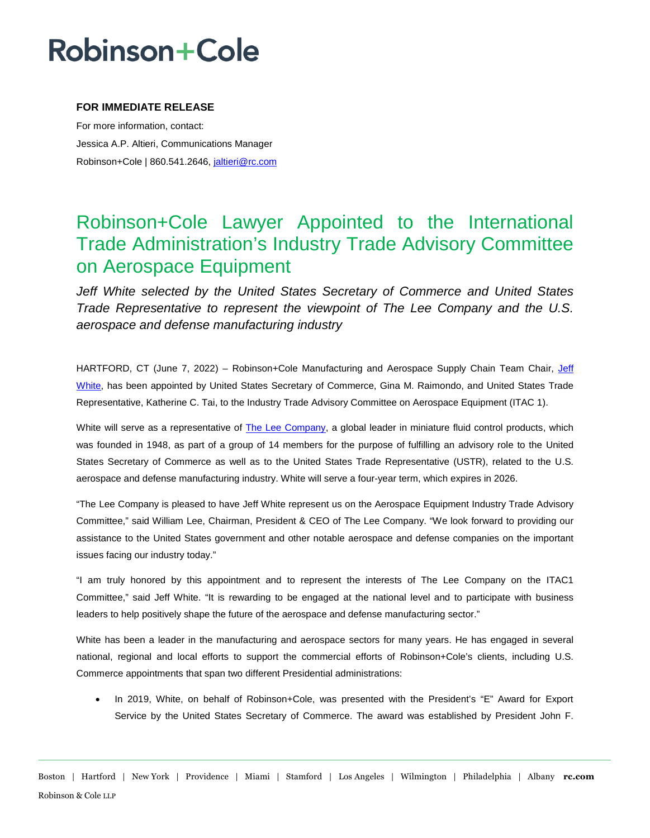# **Robinson+Cole**

### **FOR IMMEDIATE RELEASE**

For more information, contact: Jessica A.P. Altieri, Communications Manager Robinson+Cole | 860.541.2646, [jaltieri@rc.com](mailto:jaltieri@rc.com)

## Robinson+Cole Lawyer Appointed to the International Trade Administration's Industry Trade Advisory Committee on Aerospace Equipment

*Jeff White selected by the United States Secretary of Commerce and United States Trade Representative to represent the viewpoint of The Lee Company and the U.S. aerospace and defense manufacturing industry* 

HARTFORD, CT (June 7, 2022) – Robinson+Cole Manufacturing and Aerospace Supply Chain Team Chair, [Jeff](http://www.rc.com/people/JeffreyJWhite.cfm)  [White,](http://www.rc.com/people/JeffreyJWhite.cfm) has been appointed by United States Secretary of Commerce, Gina M. Raimondo, and United States Trade Representative, Katherine C. Tai, to the Industry Trade Advisory Committee on Aerospace Equipment (ITAC 1).

White will serve as a representative of [The Lee Company,](https://www.theleeco.com/) a global leader in miniature fluid control products, which was founded in 1948, as part of a group of 14 members for the purpose of fulfilling an advisory role to the United States Secretary of Commerce as well as to the United States Trade Representative (USTR), related to the U.S. aerospace and defense manufacturing industry. White will serve a four-year term, which expires in 2026.

"The Lee Company is pleased to have Jeff White represent us on the Aerospace Equipment Industry Trade Advisory Committee," said William Lee, Chairman, President & CEO of The Lee Company. "We look forward to providing our assistance to the United States government and other notable aerospace and defense companies on the important issues facing our industry today."

"I am truly honored by this appointment and to represent the interests of The Lee Company on the ITAC1 Committee," said Jeff White. "It is rewarding to be engaged at the national level and to participate with business leaders to help positively shape the future of the aerospace and defense manufacturing sector."

White has been a leader in the manufacturing and aerospace sectors for many years. He has engaged in several national, regional and local efforts to support the commercial efforts of Robinson+Cole's clients, including U.S. Commerce appointments that span two different Presidential administrations:

• In 2019, White, on behalf of Robinson+Cole, was presented with the President's "E" Award for Export Service by the United States Secretary of Commerce. The award was established by President John F.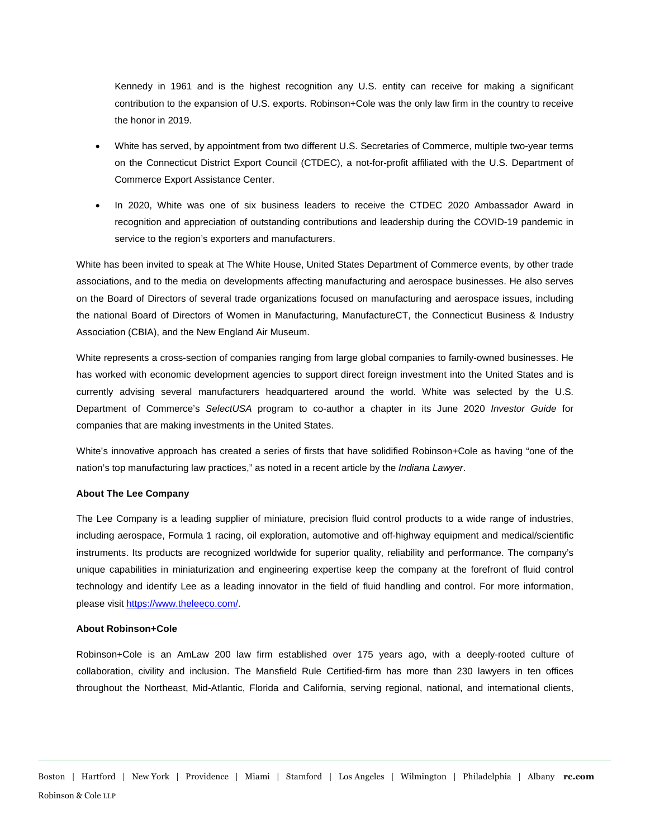Kennedy in 1961 and is the highest recognition any U.S. entity can receive for making a significant contribution to the expansion of U.S. exports. Robinson+Cole was the only law firm in the country to receive the honor in 2019.

- White has served, by appointment from two different U.S. Secretaries of Commerce, multiple two-year terms on the Connecticut District Export Council (CTDEC), a not-for-profit affiliated with the U.S. Department of Commerce Export Assistance Center.
- In 2020, White was one of six business leaders to receive the CTDEC 2020 Ambassador Award in recognition and appreciation of outstanding contributions and leadership during the COVID-19 pandemic in service to the region's exporters and manufacturers.

White has been invited to speak at The White House, United States Department of Commerce events, by other trade associations, and to the media on developments affecting manufacturing and aerospace businesses. He also serves on the Board of Directors of several trade organizations focused on manufacturing and aerospace issues, including the national Board of Directors of Women in Manufacturing, ManufactureCT, the Connecticut Business & Industry Association (CBIA), and the New England Air Museum.

White represents a cross-section of companies ranging from large global companies to family-owned businesses. He has worked with economic development agencies to support direct foreign investment into the United States and is currently advising several manufacturers headquartered around the world. White was selected by the U.S. Department of Commerce's *SelectUSA* program to co-author a chapter in its June 2020 *Investor Guide* for companies that are making investments in the United States.

White's innovative approach has created a series of firsts that have solidified Robinson+Cole as having "one of the nation's top manufacturing law practices," as noted in a recent article by the *Indiana Lawyer*.

### **About The Lee Company**

The Lee Company is a leading supplier of miniature, precision fluid control products to a wide range of industries, including aerospace, Formula 1 racing, oil exploration, automotive and off-highway equipment and medical/scientific instruments. Its products are recognized worldwide for superior quality, reliability and performance. The company's unique capabilities in miniaturization and engineering expertise keep the company at the forefront of fluid control technology and identify Lee as a leading innovator in the field of fluid handling and control. For more information, please visit [https://www.theleeco.com/.](https://www.theleeco.com/)

#### **About Robinson+Cole**

Robinson+Cole is an AmLaw 200 law firm established over 175 years ago, with a deeply-rooted culture of collaboration, civility and inclusion. The Mansfield Rule Certified-firm has more than 230 lawyers in ten offices throughout the Northeast, Mid-Atlantic, Florida and California, serving regional, national, and international clients,